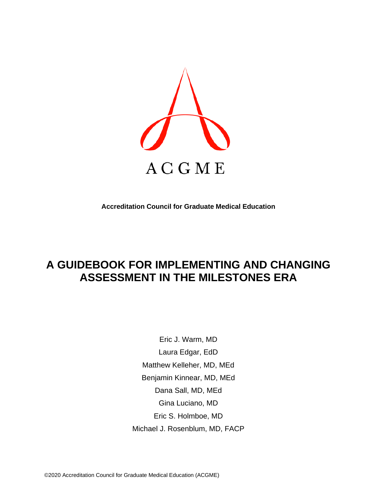

**Accreditation Council for Graduate Medical Education**

# **A GUIDEBOOK FOR IMPLEMENTING AND CHANGING ASSESSMENT IN THE MILESTONES ERA**

Eric J. Warm, MD Laura Edgar, EdD Matthew Kelleher, MD, MEd Benjamin Kinnear, MD, MEd Dana Sall, MD, MEd Gina Luciano, MD Eric S. Holmboe, MD Michael J. Rosenblum, MD, FACP

©2020 Accreditation Council for Graduate Medical Education (ACGME)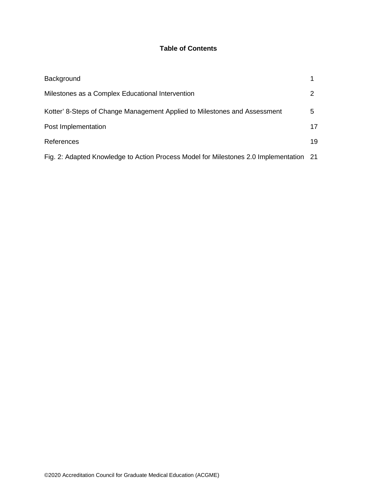# **Table of Contents**

| Background                                                                             |    |
|----------------------------------------------------------------------------------------|----|
| Milestones as a Complex Educational Intervention                                       |    |
| Kotter' 8-Steps of Change Management Applied to Milestones and Assessment              | 5  |
| Post Implementation                                                                    | 17 |
| References                                                                             | 19 |
| Fig. 2: Adapted Knowledge to Action Process Model for Milestones 2.0 Implementation 21 |    |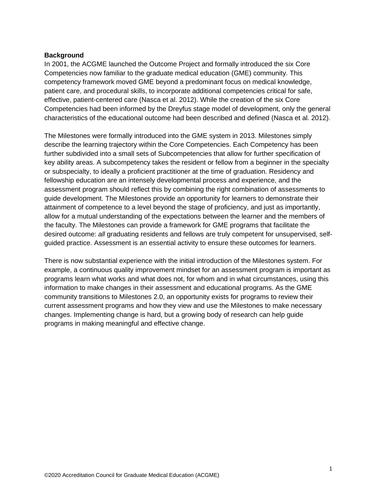#### **Background**

In 2001, the ACGME launched the Outcome Project and formally introduced the six Core Competencies now familiar to the graduate medical education (GME) community. This competency framework moved GME beyond a predominant focus on medical knowledge, patient care, and procedural skills, to incorporate additional competencies critical for safe, effective, patient-centered care (Nasca et al. 2012). While the creation of the six Core Competencies had been informed by the Dreyfus stage model of development, only the general characteristics of the educational outcome had been described and defined (Nasca et al. 2012).

The Milestones were formally introduced into the GME system in 2013. Milestones simply describe the learning trajectory within the Core Competencies. Each Competency has been further subdivided into a small sets of Subcompetencies that allow for further specification of key ability areas. A subcompetency takes the resident or fellow from a beginner in the specialty or subspecialty, to ideally a proficient practitioner at the time of graduation. Residency and fellowship education are an intensely developmental process and experience, and the assessment program should reflect this by combining the right combination of assessments to guide development. The Milestones provide an opportunity for learners to demonstrate their attainment of competence to a level beyond the stage of proficiency, and just as importantly, allow for a mutual understanding of the expectations between the learner and the members of the faculty. The Milestones can provide a framework for GME programs that facilitate the desired outcome: *all* graduating residents and fellows are truly competent for unsupervised, selfguided practice. Assessment is an essential activity to ensure these outcomes for learners.

There is now substantial experience with the initial introduction of the Milestones system. For example, a continuous quality improvement mindset for an assessment program is important as programs learn what works and what does not, for whom and in what circumstances, using this information to make changes in their assessment and educational programs. As the GME community transitions to Milestones 2.0, an opportunity exists for programs to review their current assessment programs and how they view and use the Milestones to make necessary changes. Implementing change is hard, but a growing body of research can help guide programs in making meaningful and effective change.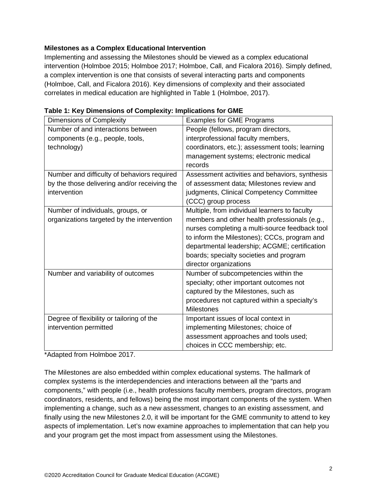## **Milestones as a Complex Educational Intervention**

Implementing and assessing the Milestones should be viewed as a complex educational intervention (Holmboe 2015; Holmboe 2017; Holmboe, Call, and Ficalora 2016). Simply defined, a complex intervention is one that consists of several interacting parts and components (Holmboe, Call, and Ficalora 2016). Key dimensions of complexity and their associated correlates in medical education are highlighted in Table 1 (Holmboe, 2017).

| <b>Dimensions of Complexity</b>              | <b>Examples for GME Programs</b>                |
|----------------------------------------------|-------------------------------------------------|
| Number of and interactions between           | People (fellows, program directors,             |
| components (e.g., people, tools,             | interprofessional faculty members,              |
| technology)                                  | coordinators, etc.); assessment tools; learning |
|                                              | management systems; electronic medical          |
|                                              | records                                         |
| Number and difficulty of behaviors required  | Assessment activities and behaviors, synthesis  |
| by the those delivering and/or receiving the | of assessment data; Milestones review and       |
| intervention                                 | judgments, Clinical Competency Committee        |
|                                              | (CCC) group process                             |
| Number of individuals, groups, or            | Multiple, from individual learners to faculty   |
| organizations targeted by the intervention   | members and other health professionals (e.g.,   |
|                                              | nurses completing a multi-source feedback tool  |
|                                              | to inform the Milestones); CCCs, program and    |
|                                              | departmental leadership; ACGME; certification   |
|                                              | boards; specialty societies and program         |
|                                              | director organizations                          |
| Number and variability of outcomes           | Number of subcompetencies within the            |
|                                              | specialty; other important outcomes not         |
|                                              | captured by the Milestones, such as             |
|                                              | procedures not captured within a specialty's    |
|                                              | <b>Milestones</b>                               |
| Degree of flexibility or tailoring of the    | Important issues of local context in            |
| intervention permitted                       | implementing Milestones; choice of              |
|                                              | assessment approaches and tools used;           |
|                                              | choices in CCC membership; etc.                 |

\*Adapted from Holmboe 2017.

The Milestones are also embedded within complex educational systems. The hallmark of complex systems is the interdependencies and interactions between all the "parts and components," with people (i.e., health professions faculty members, program directors, program coordinators, residents, and fellows) being the most important components of the system. When implementing a change, such as a new assessment, changes to an existing assessment, and finally using the new Milestones 2.0, it will be important for the GME community to attend to key aspects of implementation. Let's now examine approaches to implementation that can help you and your program get the most impact from assessment using the Milestones.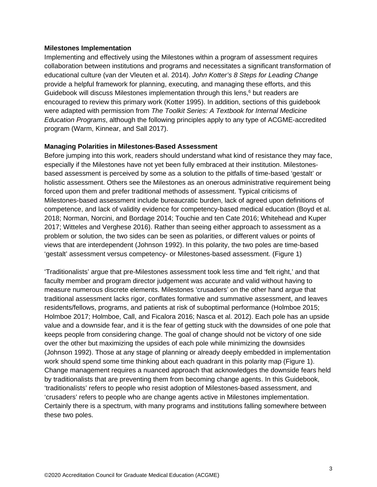#### **Milestones Implementation**

Implementing and effectively using the Milestones within a program of assessment requires collaboration between institutions and programs and necessitates a significant transformation of educational culture (van der Vleuten et al. 2014). *John Kotter's 8 Steps for Leading Change* provide a helpful framework for planning, executing, and managing these efforts, and this Guidebook will discuss Milestones implementation through this lens, <sup>6</sup> but readers are encouraged to review this primary work (Kotter 1995). In addition, sections of this guidebook were adapted with permission from *The Toolkit Series: A Textbook for Internal Medicine Education Programs*, although the following principles apply to any type of ACGME-accredited program (Warm, Kinnear, and Sall 2017).

#### **Managing Polarities in Milestones-Based Assessment**

Before jumping into this work, readers should understand what kind of resistance they may face, especially if the Milestones have not yet been fully embraced at their institution. Milestonesbased assessment is perceived by some as a solution to the pitfalls of time-based 'gestalt' or holistic assessment. Others see the Milestones as an onerous administrative requirement being forced upon them and prefer traditional methods of assessment. Typical criticisms of Milestones-based assessment include bureaucratic burden, lack of agreed upon definitions of competence, and lack of validity evidence for competency-based medical education (Boyd et al. 2018; Norman, Norcini, and Bordage 2014; Touchie and ten Cate 2016; Whitehead and Kuper 2017; Witteles and Verghese 2016). Rather than seeing either approach to assessment as a problem or solution, the two sides can be seen as polarities, or different values or points of views that are interdependent (Johnson 1992). In this polarity, the two poles are time-based 'gestalt' assessment versus competency- or Milestones-based assessment. (Figure 1)

'Traditionalists' argue that pre-Milestones assessment took less time and 'felt right,' and that faculty member and program director judgement was accurate and valid without having to measure numerous discrete elements. Milestones 'crusaders' on the other hand argue that traditional assessment lacks rigor, conflates formative and summative assessment, and leaves residents/fellows, programs, and patients at risk of suboptimal performance (Holmboe 2015; Holmboe 2017; Holmboe, Call, and Ficalora 2016; Nasca et al. 2012). Each pole has an upside value and a downside fear, and it is the fear of getting stuck with the downsides of one pole that keeps people from considering change. The goal of change should not be victory of one side over the other but maximizing the upsides of each pole while minimizing the downsides (Johnson 1992). Those at any stage of planning or already deeply embedded in implementation work should spend some time thinking about each quadrant in this polarity map (Figure 1). Change management requires a nuanced approach that acknowledges the downside fears held by traditionalists that are preventing them from becoming change agents. In this Guidebook, 'traditionalists' refers to people who resist adoption of Milestones-based assessment, and 'crusaders' refers to people who are change agents active in Milestones implementation. Certainly there is a spectrum, with many programs and institutions falling somewhere between these two poles.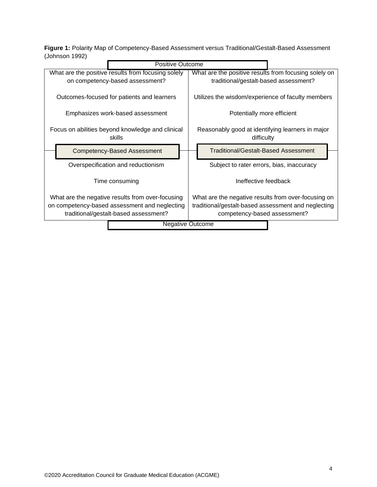**Figure 1:** Polarity Map of Competency-Based Assessment versus Traditional/Gestalt-Based Assessment (Johnson 1992)

| Positive Outcome                                                                       |                                                                                                |
|----------------------------------------------------------------------------------------|------------------------------------------------------------------------------------------------|
| What are the positive results from focusing solely<br>on competency-based assessment?  | What are the positive results from focusing solely on<br>traditional/gestalt-based assessment? |
| Outcomes-focused for patients and learners                                             | Utilizes the wisdom/experience of faculty members                                              |
| Emphasizes work-based assessment                                                       | Potentially more efficient                                                                     |
| Focus on abilities beyond knowledge and clinical<br>skills                             | Reasonably good at identifying learners in major<br>difficulty                                 |
| <b>Competency-Based Assessment</b>                                                     | Traditional/Gestalt-Based Assessment                                                           |
| Overspecification and reductionism                                                     | Subject to rater errors, bias, inaccuracy                                                      |
| Time consuming                                                                         | Ineffective feedback                                                                           |
| What are the negative results from over-focusing                                       | What are the negative results from over-focusing on                                            |
| on competency-based assessment and neglecting<br>traditional/gestalt-based assessment? | traditional/gestalt-based assessment and neglecting<br>competency-based assessment?            |
|                                                                                        | <b>Negative Outcome</b>                                                                        |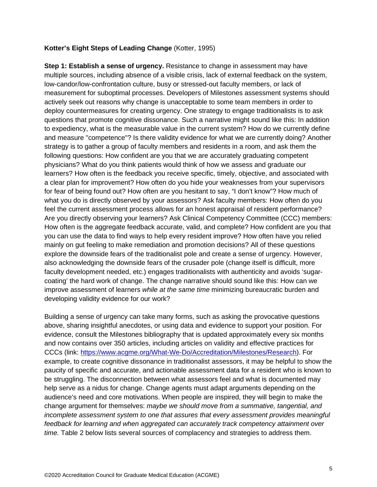#### **Kotter's Eight Steps of Leading Change** (Kotter, 1995)

**Step 1: Establish a sense of urgency.** Resistance to change in assessment may have multiple sources, including absence of a visible crisis, lack of external feedback on the system, low-candor/low-confrontation culture, busy or stressed-out faculty members, or lack of measurement for suboptimal processes. Developers of Milestones assessment systems should actively seek out reasons why change is unacceptable to some team members in order to deploy countermeasures for creating urgency. One strategy to engage traditionalists is to ask questions that promote cognitive dissonance. Such a narrative might sound like this: In addition to expediency, what is the measurable value in the current system? How do we currently define and measure "competence"? Is there validity evidence for what we are currently doing? Another strategy is to gather a group of faculty members and residents in a room, and ask them the following questions: How confident are you that we are accurately graduating competent physicians? What do you think patients would think of how we assess and graduate our learners? How often is the feedback you receive specific, timely, objective, and associated with a clear plan for improvement? How often do you hide your weaknesses from your supervisors for fear of being found out? How often are you hesitant to say, "I don't know"? How much of what you do is directly observed by your assessors? Ask faculty members: How often do you feel the current assessment process allows for an honest appraisal of resident performance? Are you directly observing your learners? Ask Clinical Competency Committee (CCC) members: How often is the aggregate feedback accurate, valid, and complete? How confident are you that you can use the data to find ways to help every resident improve? How often have you relied mainly on gut feeling to make remediation and promotion decisions? All of these questions explore the downside fears of the traditionalist pole and create a sense of urgency. However, also acknowledging the downside fears of the crusader pole (change itself is difficult, more faculty development needed, etc.) engages traditionalists with authenticity and avoids 'sugarcoating' the hard work of change. The change narrative should sound like this: How can we improve assessment of learners *while at the same time* minimizing bureaucratic burden and developing validity evidence for our work?

Building a sense of urgency can take many forms, such as asking the provocative questions above, sharing insightful anecdotes, or using data and evidence to support your position. For evidence, consult the Milestones bibliography that is updated approximately every six months and now contains over 350 articles, including articles on validity and effective practices for CCCs (link: [https://www.acgme.org/What-We-Do/Accreditation/Milestones/Research\)](https://www.acgme.org/What-We-Do/Accreditation/Milestones/Research). For example, to create cognitive dissonance in traditionalist assessors, it may be helpful to show the paucity of specific and accurate, and actionable assessment data for a resident who is known to be struggling. The disconnection between what assessors feel and what is documented may help serve as a nidus for change. Change agents must adapt arguments depending on the audience's need and core motivations. When people are inspired, they will begin to make the change argument for themselves: *maybe we should move from a summative, tangential, and incomplete assessment system to one that assures that every assessment provides meaningful feedback for learning and when aggregated can accurately track competency attainment over time.* Table 2 below lists several sources of complacency and strategies to address them.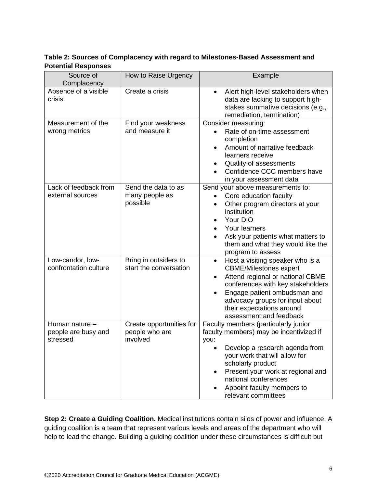**Table 2: Sources of Complacency with regard to Milestones-Based Assessment and Potential Responses**

| Source of<br>Complacency                          | How to Raise Urgency                                   | Example                                                                                                                                                                                                                                                                                           |
|---------------------------------------------------|--------------------------------------------------------|---------------------------------------------------------------------------------------------------------------------------------------------------------------------------------------------------------------------------------------------------------------------------------------------------|
| Absence of a visible<br>crisis                    | Create a crisis                                        | Alert high-level stakeholders when<br>$\bullet$<br>data are lacking to support high-<br>stakes summative decisions (e.g.,<br>remediation, termination)                                                                                                                                            |
| Measurement of the<br>wrong metrics               | Find your weakness<br>and measure it                   | Consider measuring:<br>Rate of on-time assessment<br>completion<br>Amount of narrative feedback<br>learners receive<br>Quality of assessments<br>Confidence CCC members have<br>in your assessment data                                                                                           |
| Lack of feedback from<br>external sources         | Send the data to as<br>many people as<br>possible      | Send your above measurements to:<br>Core education faculty<br>Other program directors at your<br>$\bullet$<br>institution<br>Your DIO<br>Your learners<br>Ask your patients what matters to<br>them and what they would like the<br>program to assess                                             |
| Low-candor, low-<br>confrontation culture         | Bring in outsiders to<br>start the conversation        | Host a visiting speaker who is a<br>$\bullet$<br><b>CBME/Milestones expert</b><br>Attend regional or national CBME<br>conferences with key stakeholders<br>Engage patient ombudsman and<br>advocacy groups for input about<br>their expectations around<br>assessment and feedback                |
| Human nature -<br>people are busy and<br>stressed | Create opportunities for<br>people who are<br>involved | Faculty members (particularly junior<br>faculty members) may be incentivized if<br>you:<br>Develop a research agenda from<br>your work that will allow for<br>scholarly product<br>Present your work at regional and<br>national conferences<br>Appoint faculty members to<br>relevant committees |

**Step 2: Create a Guiding Coalition.** Medical institutions contain silos of power and influence. A guiding coalition is a team that represent various levels and areas of the department who will help to lead the change. Building a guiding coalition under these circumstances is difficult but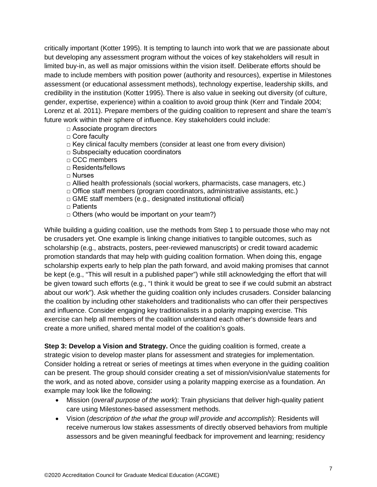critically important (Kotter 1995). It is tempting to launch into work that we are passionate about but developing any assessment program without the voices of key stakeholders will result in limited buy-in, as well as major omissions within the vision itself. Deliberate efforts should be made to include members with position power (authority and resources), expertise in Milestones assessment (or educational assessment methods), technology expertise, leadership skills, and credibility in the institution (Kotter 1995). There is also value in seeking out diversity (of culture, gender, expertise, experience) within a coalition to avoid group think (Kerr and Tindale 2004; Lorenz et al. 2011). Prepare members of the guiding coalition to represent and share the team's future work within their sphere of influence. Key stakeholders could include:

□ Associate program directors

- □ Core faculty
- $\Box$  Key clinical faculty members (consider at least one from every division)
- □ Subspecialty education coordinators
- □ CCC members
- □ Residents/fellows

□ Nurses

- $\Box$  Allied health professionals (social workers, pharmacists, case managers, etc.)
- $\Box$  Office staff members (program coordinators, administrative assistants, etc.)
- $\Box$  GME staff members (e.g., designated institutional official)
- □ Patients
- □ Others (who would be important on *your* team?)

While building a guiding coalition, use the methods from Step 1 to persuade those who may not be crusaders yet. One example is linking change initiatives to tangible outcomes, such as scholarship (e.g., abstracts, posters, peer-reviewed manuscripts) or credit toward academic promotion standards that may help with guiding coalition formation. When doing this, engage scholarship experts early to help plan the path forward, and avoid making promises that cannot be kept (e.g., "This will result in a published paper") while still acknowledging the effort that will be given toward such efforts (e.g., "I think it would be great to see if we could submit an abstract about our work"). Ask whether the guiding coalition only includes crusaders. Consider balancing the coalition by including other stakeholders and traditionalists who can offer their perspectives and influence. Consider engaging key traditionalists in a polarity mapping exercise. This exercise can help all members of the coalition understand each other's downside fears and create a more unified, shared mental model of the coalition's goals.

**Step 3: Develop a Vision and Strategy.** Once the guiding coalition is formed, create a strategic vision to develop master plans for assessment and strategies for implementation. Consider holding a retreat or series of meetings at times when everyone in the guiding coalition can be present. The group should consider creating a set of mission/vision/value statements for the work, and as noted above, consider using a polarity mapping exercise as a foundation. An example may look like the following:

- Mission (*overall purpose of the work*): Train physicians that deliver high-quality patient care using Milestones-based assessment methods.
- Vision (*description of the what the group will provide and accomplish*): Residents will receive numerous low stakes assessments of directly observed behaviors from multiple assessors and be given meaningful feedback for improvement and learning; residency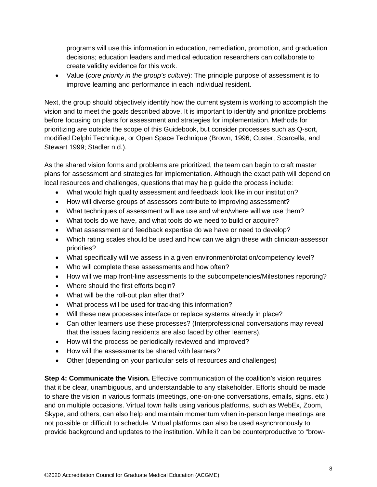programs will use this information in education, remediation, promotion, and graduation decisions; education leaders and medical education researchers can collaborate to create validity evidence for this work.

• Value (*core priority in the group's culture*): The principle purpose of assessment is to improve learning and performance in each individual resident.

Next, the group should objectively identify how the current system is working to accomplish the vision and to meet the goals described above. It is important to identify and prioritize problems before focusing on plans for assessment and strategies for implementation. Methods for prioritizing are outside the scope of this Guidebook, but consider processes such as Q-sort, modified Delphi Technique, or Open Space Technique (Brown, 1996; Custer, Scarcella, and Stewart 1999; Stadler n.d.).

As the shared vision forms and problems are prioritized, the team can begin to craft master plans for assessment and strategies for implementation. Although the exact path will depend on local resources and challenges, questions that may help guide the process include:

- What would high quality assessment and feedback look like in our institution?
- How will diverse groups of assessors contribute to improving assessment?
- What techniques of assessment will we use and when/where will we use them?
- What tools do we have, and what tools do we need to build or acquire?
- What assessment and feedback expertise do we have or need to develop?
- Which rating scales should be used and how can we align these with clinician-assessor priorities?
- What specifically will we assess in a given environment/rotation/competency level?
- Who will complete these assessments and how often?
- How will we map front-line assessments to the subcompetencies/Milestones reporting?
- Where should the first efforts begin?
- What will be the roll-out plan after that?
- What process will be used for tracking this information?
- Will these new processes interface or replace systems already in place?
- Can other learners use these processes? (Interprofessional conversations may reveal that the issues facing residents are also faced by other learners).
- How will the process be periodically reviewed and improved?
- How will the assessments be shared with learners?
- Other (depending on your particular sets of resources and challenges)

**Step 4: Communicate the Vision.** Effective communication of the coalition's vision requires that it be clear, unambiguous, and understandable to any stakeholder. Efforts should be made to share the vision in various formats (meetings, one-on-one conversations, emails, signs, etc.) and on multiple occasions. Virtual town halls using various platforms, such as WebEx, Zoom, Skype, and others, can also help and maintain momentum when in-person large meetings are not possible or difficult to schedule. Virtual platforms can also be used asynchronously to provide background and updates to the institution. While it can be counterproductive to "brow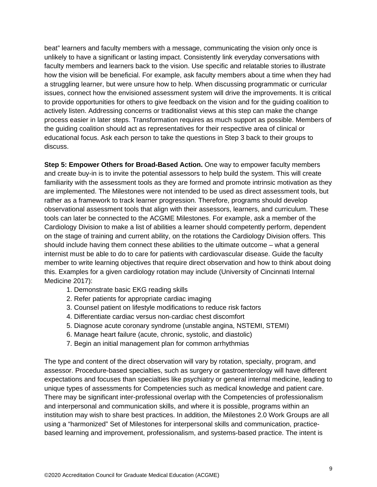beat" learners and faculty members with a message, communicating the vision only once is unlikely to have a significant or lasting impact. Consistently link everyday conversations with faculty members and learners back to the vision. Use specific and relatable stories to illustrate how the vision will be beneficial. For example, ask faculty members about a time when they had a struggling learner, but were unsure how to help. When discussing programmatic or curricular issues, connect how the envisioned assessment system will drive the improvements. It is critical to provide opportunities for others to give feedback on the vision and for the guiding coalition to actively listen. Addressing concerns or traditionalist views at this step can make the change process easier in later steps. Transformation requires as much support as possible. Members of the guiding coalition should act as representatives for their respective area of clinical or educational focus. Ask each person to take the questions in Step 3 back to their groups to discuss.

**Step 5: Empower Others for Broad-Based Action.** One way to empower faculty members and create buy-in is to invite the potential assessors to help build the system. This will create familiarity with the assessment tools as they are formed and promote intrinsic motivation as they are implemented. The Milestones were not intended to be used as direct assessment tools, but rather as a framework to track learner progression. Therefore, programs should develop observational assessment tools that align with their assessors, learners, and curriculum. These tools can later be connected to the ACGME Milestones. For example, ask a member of the Cardiology Division to make a list of abilities a learner should competently perform, dependent on the stage of training and current ability, on the rotations the Cardiology Division offers. This should include having them connect these abilities to the ultimate outcome – what a general internist must be able to do to care for patients with cardiovascular disease. Guide the faculty member to write learning objectives that require direct observation and how to think about doing this. Examples for a given cardiology rotation may include (University of Cincinnati Internal Medicine 2017):

- 1. Demonstrate basic EKG reading skills
- 2. Refer patients for appropriate cardiac imaging
- 3. Counsel patient on lifestyle modifications to reduce risk factors
- 4. Differentiate cardiac versus non‐cardiac chest discomfort
- 5. Diagnose acute coronary syndrome (unstable angina, NSTEMI, STEMI)
- 6. Manage heart failure (acute, chronic, systolic, and diastolic)
- 7. Begin an initial management plan for common arrhythmias

The type and content of the direct observation will vary by rotation, specialty, program, and assessor. Procedure-based specialties, such as surgery or gastroenterology will have different expectations and focuses than specialties like psychiatry or general internal medicine, leading to unique types of assessments for Competencies such as medical knowledge and patient care. There may be significant inter-professional overlap with the Competencies of professionalism and interpersonal and communication skills, and where it is possible, programs within an institution may wish to share best practices. In addition, the Milestones 2.0 Work Groups are all using a "harmonized" Set of Milestones for interpersonal skills and communication, practicebased learning and improvement, professionalism, and systems-based practice. The intent is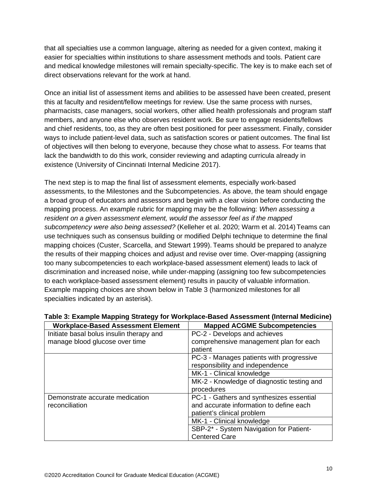that all specialties use a common language, altering as needed for a given context, making it easier for specialties within institutions to share assessment methods and tools. Patient care and medical knowledge milestones will remain specialty-specific. The key is to make each set of direct observations relevant for the work at hand.

Once an initial list of assessment items and abilities to be assessed have been created, present this at faculty and resident/fellow meetings for review. Use the same process with nurses, pharmacists, case managers, social workers, other allied health professionals and program staff members, and anyone else who observes resident work. Be sure to engage residents/fellows and chief residents, too, as they are often best positioned for peer assessment. Finally, consider ways to include patient-level data, such as satisfaction scores or patient outcomes. The final list of objectives will then belong to everyone, because they chose what to assess. For teams that lack the bandwidth to do this work, consider reviewing and adapting curricula already in existence (University of Cincinnati Internal Medicine 2017).

The next step is to map the final list of assessment elements, especially work-based assessments, to the Milestones and the Subcompetencies. As above, the team should engage a broad group of educators and assessors and begin with a clear vision before conducting the mapping process. An example rubric for mapping may be the following: *When assessing a resident on a given assessment element, would the assessor feel as if the mapped subcompetency were also being assessed?* (Kelleher et al. 2020; Warm et al. 2014) Teams can use techniques such as consensus building or modified Delphi technique to determine the final mapping choices (Custer, Scarcella, and Stewart 1999). Teams should be prepared to analyze the results of their mapping choices and adjust and revise over time. Over-mapping (assigning too many subcompetencies to each workplace-based assessment element) leads to lack of discrimination and increased noise, while under-mapping (assigning too few subcompetencies to each workplace-based assessment element) results in paucity of valuable information. Example mapping choices are shown below in Table 3 (harmonized milestones for all specialties indicated by an asterisk).

| <b>Workplace-Based Assessment Element</b> | <b>Mapped ACGME Subcompetencies</b>        |
|-------------------------------------------|--------------------------------------------|
| Initiate basal bolus insulin therapy and  | PC-2 - Develops and achieves               |
| manage blood glucose over time            | comprehensive management plan for each     |
|                                           | patient                                    |
|                                           | PC-3 - Manages patients with progressive   |
|                                           | responsibility and independence            |
|                                           | MK-1 - Clinical knowledge                  |
|                                           | MK-2 - Knowledge of diagnostic testing and |
|                                           | procedures                                 |
| Demonstrate accurate medication           | PC-1 - Gathers and synthesizes essential   |
| reconciliation                            | and accurate information to define each    |
|                                           | patient's clinical problem                 |
|                                           | MK-1 - Clinical knowledge                  |
|                                           | SBP-2* - System Navigation for Patient-    |
|                                           | <b>Centered Care</b>                       |

## **Table 3: Example Mapping Strategy for Workplace-Based Assessment (Internal Medicine)**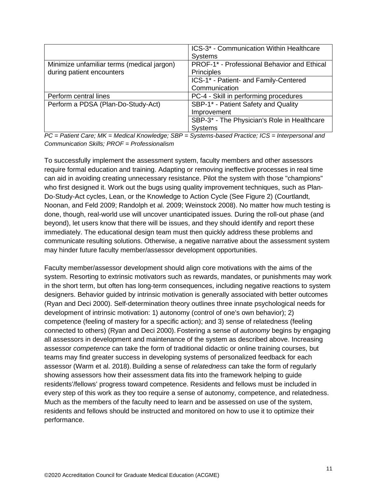|                                            | ICS-3* - Communication Within Healthcare    |
|--------------------------------------------|---------------------------------------------|
|                                            | <b>Systems</b>                              |
| Minimize unfamiliar terms (medical jargon) | PROF-1* - Professional Behavior and Ethical |
| during patient encounters                  | Principles                                  |
|                                            | ICS-1* - Patient- and Family-Centered       |
|                                            | Communication                               |
| Perform central lines                      | PC-4 - Skill in performing procedures       |
| Perform a PDSA (Plan-Do-Study-Act)         | SBP-1* - Patient Safety and Quality         |
|                                            | Improvement                                 |
|                                            | SBP-3* - The Physician's Role in Healthcare |
|                                            | <b>Systems</b>                              |

*PC = Patient Care; MK = Medical Knowledge; SBP = Systems-based Practice; ICS = Interpersonal and Communication Skills; PROF = Professionalism*

To successfully implement the assessment system, faculty members and other assessors require formal education and training. Adapting or removing ineffective processes in real time can aid in avoiding creating unnecessary resistance. Pilot the system with those "champions" who first designed it. Work out the bugs using quality improvement techniques, such as Plan-Do-Study-Act cycles, Lean, or the Knowledge to Action Cycle (See Figure 2) (Courtlandt, Noonan, and Feld 2009; Randolph et al. 2009; Weinstock 2008). No matter how much testing is done, though, real-world use will uncover unanticipated issues. During the roll-out phase (and beyond), let users know that there will be issues, and they should identify and report these immediately. The educational design team must then quickly address these problems and communicate resulting solutions. Otherwise, a negative narrative about the assessment system may hinder future faculty member/assessor development opportunities.

Faculty member/assessor development should align core motivations with the aims of the system. Resorting to extrinsic motivators such as rewards, mandates, or punishments may work in the short term, but often has long-term consequences, including negative reactions to system designers. Behavior guided by intrinsic motivation is generally associated with better outcomes (Ryan and Deci 2000). Self-determination theory outlines three innate psychological needs for development of intrinsic motivation: 1) autonomy (control of one's own behavior); 2) competence (feeling of mastery for a specific action); and 3) sense of relatedness (feeling connected to others) (Ryan and Deci 2000). Fostering a sense of *autonomy* begins by engaging all assessors in development and maintenance of the system as described above. Increasing assessor *competence* can take the form of traditional didactic or online training courses, but teams may find greater success in developing systems of personalized feedback for each assessor (Warm et al. 2018). Building a sense of *relatedness* can take the form of regularly showing assessors how their assessment data fits into the framework helping to guide residents'/fellows' progress toward competence. Residents and fellows must be included in every step of this work as they too require a sense of autonomy, competence, and relatedness. Much as the members of the faculty need to learn and be assessed on use of the system, residents and fellows should be instructed and monitored on how to use it to optimize their performance.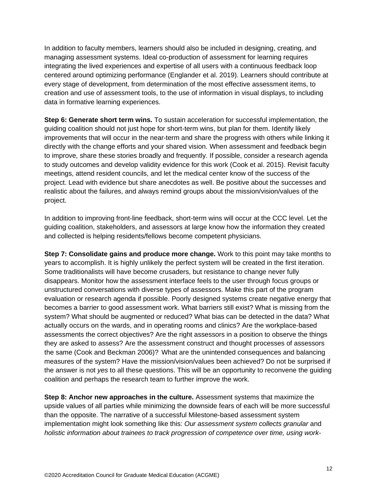In addition to faculty members, learners should also be included in designing, creating, and managing assessment systems. Ideal co-production of assessment for learning requires integrating the lived experiences and expertise of all users with a continuous feedback loop centered around optimizing performance (Englander et al. 2019). Learners should contribute at every stage of development, from determination of the most effective assessment items, to creation and use of assessment tools, to the use of information in visual displays, to including data in formative learning experiences.

**Step 6: Generate short term wins.** To sustain acceleration for successful implementation, the guiding coalition should not just hope for short-term wins, but plan for them. Identify likely improvements that will occur in the near-term and share the progress with others while linking it directly with the change efforts and your shared vision. When assessment and feedback begin to improve, share these stories broadly and frequently. If possible, consider a research agenda to study outcomes and develop validity evidence for this work (Cook et al. 2015). Revisit faculty meetings, attend resident councils, and let the medical center know of the success of the project. Lead with evidence but share anecdotes as well. Be positive about the successes and realistic about the failures, and always remind groups about the mission/vision/values of the project.

In addition to improving front-line feedback, short-term wins will occur at the CCC level. Let the guiding coalition, stakeholders, and assessors at large know how the information they created and collected is helping residents/fellows become competent physicians.

**Step 7: Consolidate gains and produce more change.** Work to this point may take months to years to accomplish. It is highly unlikely the perfect system will be created in the first iteration. Some traditionalists will have become crusaders, but resistance to change never fully disappears. Monitor how the assessment interface feels to the user through focus groups or unstructured conversations with diverse types of assessors. Make this part of the program evaluation or research agenda if possible. Poorly designed systems create negative energy that becomes a barrier to good assessment work. What barriers still exist? What is missing from the system? What should be augmented or reduced? What bias can be detected in the data? What actually occurs on the wards, and in operating rooms and clinics? Are the workplace-based assessments the correct objectives? Are the right assessors in a position to observe the things they are asked to assess? Are the assessment construct and thought processes of assessors the same (Cook and Beckman 2006)? What are the unintended consequences and balancing measures of the system? Have the mission/vision/values been achieved? Do not be surprised if the answer is not *yes* to all these questions. This will be an opportunity to reconvene the guiding coalition and perhaps the research team to further improve the work.

**Step 8: Anchor new approaches in the culture.** Assessment systems that maximize the upside values of all parties while minimizing the downside fears of each will be more successful than the opposite. The narrative of a successful Milestone-based assessment system implementation might look something like this: *Our assessment system collects granular* and *holistic information about trainees to track progression of competence over time, using work-*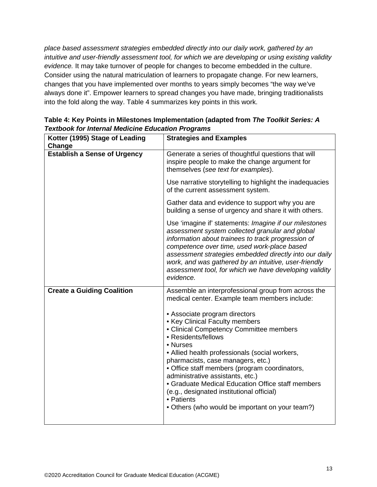*place based assessment strategies embedded directly into our daily work, gathered by an intuitive and user-friendly assessment tool, for which we are developing or using existing validity evidence.* It may take turnover of people for changes to become embedded in the culture. Consider using the natural matriculation of learners to propagate change. For new learners, changes that you have implemented over months to years simply becomes "the way we've always done it". Empower learners to spread changes you have made, bringing traditionalists into the fold along the way. Table 4 summarizes key points in this work.

| Kotter (1995) Stage of Leading<br>Change | <b>Strategies and Examples</b>                                                                                                                                                                                                                                                                                                                                                                                                                                                               |
|------------------------------------------|----------------------------------------------------------------------------------------------------------------------------------------------------------------------------------------------------------------------------------------------------------------------------------------------------------------------------------------------------------------------------------------------------------------------------------------------------------------------------------------------|
| <b>Establish a Sense of Urgency</b>      | Generate a series of thoughtful questions that will<br>inspire people to make the change argument for<br>themselves (see text for examples).                                                                                                                                                                                                                                                                                                                                                 |
|                                          | Use narrative storytelling to highlight the inadequacies<br>of the current assessment system.                                                                                                                                                                                                                                                                                                                                                                                                |
|                                          | Gather data and evidence to support why you are<br>building a sense of urgency and share it with others.                                                                                                                                                                                                                                                                                                                                                                                     |
|                                          | Use 'imagine if' statements: Imagine if our milestones<br>assessment system collected granular and global<br>information about trainees to track progression of<br>competence over time, used work-place based<br>assessment strategies embedded directly into our daily<br>work, and was gathered by an intuitive, user-friendly<br>assessment tool, for which we have developing validity<br>evidence.                                                                                     |
| <b>Create a Guiding Coalition</b>        | Assemble an interprofessional group from across the<br>medical center. Example team members include:                                                                                                                                                                                                                                                                                                                                                                                         |
|                                          | • Associate program directors<br>• Key Clinical Faculty members<br>• Clinical Competency Committee members<br>• Residents/fellows<br>• Nurses<br>• Allied health professionals (social workers,<br>pharmacists, case managers, etc.)<br>• Office staff members (program coordinators,<br>administrative assistants, etc.)<br>• Graduate Medical Education Office staff members<br>(e.g., designated institutional official)<br>• Patients<br>• Others (who would be important on your team?) |

**Table 4: Key Points in Milestones Implementation (adapted from** *The Toolkit Series: A Textbook for Internal Medicine Education Programs*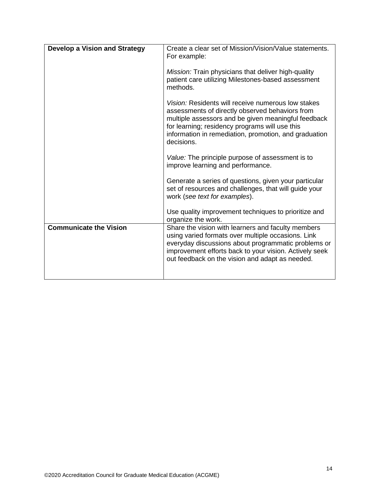| <b>Develop a Vision and Strategy</b> | Create a clear set of Mission/Vision/Value statements.<br>For example:                                                                                                                                                                                                                |
|--------------------------------------|---------------------------------------------------------------------------------------------------------------------------------------------------------------------------------------------------------------------------------------------------------------------------------------|
|                                      | Mission: Train physicians that deliver high-quality<br>patient care utilizing Milestones-based assessment<br>methods.                                                                                                                                                                 |
|                                      | Vision: Residents will receive numerous low stakes<br>assessments of directly observed behaviors from<br>multiple assessors and be given meaningful feedback<br>for learning; residency programs will use this<br>information in remediation, promotion, and graduation<br>decisions. |
|                                      | Value: The principle purpose of assessment is to<br>improve learning and performance.                                                                                                                                                                                                 |
|                                      | Generate a series of questions, given your particular<br>set of resources and challenges, that will guide your<br>work (see text for examples).                                                                                                                                       |
|                                      | Use quality improvement techniques to prioritize and<br>organize the work.                                                                                                                                                                                                            |
| <b>Communicate the Vision</b>        | Share the vision with learners and faculty members<br>using varied formats over multiple occasions. Link<br>everyday discussions about programmatic problems or<br>improvement efforts back to your vision. Actively seek<br>out feedback on the vision and adapt as needed.          |
|                                      |                                                                                                                                                                                                                                                                                       |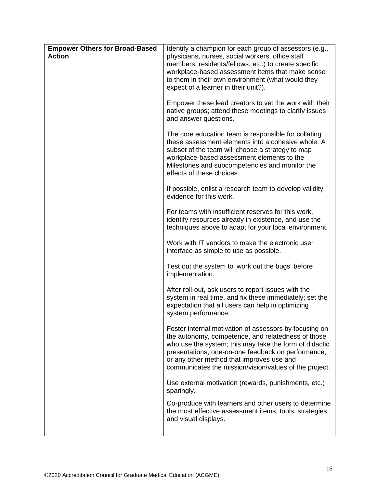| <b>Empower Others for Broad-Based</b><br><b>Action</b> | Identify a champion for each group of assessors (e.g.,<br>physicians, nurses, social workers, office staff<br>members, residents/fellows, etc.) to create specific<br>workplace-based assessment items that make sense<br>to them in their own environment (what would they<br>expect of a learner in their unit?).                 |
|--------------------------------------------------------|-------------------------------------------------------------------------------------------------------------------------------------------------------------------------------------------------------------------------------------------------------------------------------------------------------------------------------------|
|                                                        | Empower these lead creators to vet the work with their<br>native groups; attend these meetings to clarify issues<br>and answer questions.                                                                                                                                                                                           |
|                                                        | The core education team is responsible for collating<br>these assessment elements into a cohesive whole. A<br>subset of the team will choose a strategy to map<br>workplace-based assessment elements to the<br>Milestones and subcompetencies and monitor the<br>effects of these choices.                                         |
|                                                        | If possible, enlist a research team to develop validity<br>evidence for this work.                                                                                                                                                                                                                                                  |
|                                                        | For teams with insufficient reserves for this work,<br>identify resources already in existence, and use the<br>techniques above to adapt for your local environment.                                                                                                                                                                |
|                                                        | Work with IT vendors to make the electronic user<br>interface as simple to use as possible.                                                                                                                                                                                                                                         |
|                                                        | Test out the system to 'work out the bugs' before<br>implementation.                                                                                                                                                                                                                                                                |
|                                                        | After roll-out, ask users to report issues with the<br>system in real time, and fix these immediately; set the<br>expectation that all users can help in optimizing<br>system performance.                                                                                                                                          |
|                                                        | Foster internal motivation of assessors by focusing on<br>the autonomy, competence, and relatedness of those<br>who use the system; this may take the form of didactic<br>presentations, one-on-one feedback on performance,<br>or any other method that improves use and<br>communicates the mission/vision/values of the project. |
|                                                        | Use external motivation (rewards, punishments, etc.)<br>sparingly.                                                                                                                                                                                                                                                                  |
|                                                        | Co-produce with learners and other users to determine<br>the most effective assessment items, tools, strategies,<br>and visual displays.                                                                                                                                                                                            |
|                                                        |                                                                                                                                                                                                                                                                                                                                     |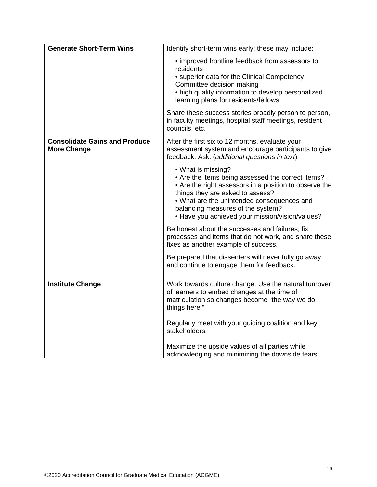| <b>Generate Short-Term Wins</b>                            | Identify short-term wins early; these may include:                                                                                                                                                                                                                                                          |
|------------------------------------------------------------|-------------------------------------------------------------------------------------------------------------------------------------------------------------------------------------------------------------------------------------------------------------------------------------------------------------|
|                                                            | • improved frontline feedback from assessors to<br>residents<br>• superior data for the Clinical Competency<br>Committee decision making<br>• high quality information to develop personalized<br>learning plans for residents/fellows                                                                      |
|                                                            | Share these success stories broadly person to person,<br>in faculty meetings, hospital staff meetings, resident<br>councils, etc.                                                                                                                                                                           |
| <b>Consolidate Gains and Produce</b><br><b>More Change</b> | After the first six to 12 months, evaluate your<br>assessment system and encourage participants to give<br>feedback. Ask: (additional questions in text)                                                                                                                                                    |
|                                                            | • What is missing?<br>• Are the items being assessed the correct items?<br>• Are the right assessors in a position to observe the<br>things they are asked to assess?<br>. What are the unintended consequences and<br>balancing measures of the system?<br>• Have you achieved your mission/vision/values? |
|                                                            | Be honest about the successes and failures; fix<br>processes and items that do not work, and share these<br>fixes as another example of success.                                                                                                                                                            |
|                                                            | Be prepared that dissenters will never fully go away<br>and continue to engage them for feedback.                                                                                                                                                                                                           |
| <b>Institute Change</b>                                    | Work towards culture change. Use the natural turnover<br>of learners to embed changes at the time of<br>matriculation so changes become "the way we do<br>things here."                                                                                                                                     |
|                                                            | Regularly meet with your guiding coalition and key<br>stakeholders.                                                                                                                                                                                                                                         |
|                                                            | Maximize the upside values of all parties while<br>acknowledging and minimizing the downside fears.                                                                                                                                                                                                         |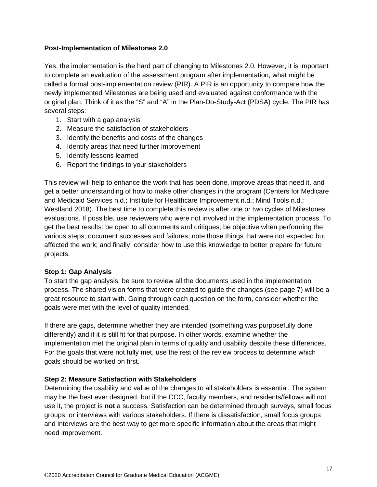## **Post-Implementation of Milestones 2.0**

Yes, the implementation is the hard part of changing to Milestones 2.0. However, it is important to complete an evaluation of the assessment program after implementation, what might be called a formal post-implementation review (PIR). A PIR is an opportunity to compare how the newly implemented Milestones are being used and evaluated against conformance with the original plan. Think of it as the "S" and "A" in the Plan-Do-Study-Act (PDSA) cycle. The PIR has several steps:

- 1. Start with a gap analysis
- 2. Measure the satisfaction of stakeholders
- 3. Identify the benefits and costs of the changes
- 4. Identify areas that need further improvement
- 5. Identify lessons learned
- 6. Report the findings to your stakeholders

This review will help to enhance the work that has been done, improve areas that need it, and get a better understanding of how to make other changes in the program (Centers for Medicare and Medicaid Services n.d.; Institute for Healthcare Improvement n.d.; Mind Tools n.d.; Westland 2018). The best time to complete this review is after one or two cycles of Milestones evaluations. If possible, use reviewers who were not involved in the implementation process. To get the best results: be open to all comments and critiques; be objective when performing the various steps; document successes and failures; note those things that were not expected but affected the work; and finally, consider how to use this knowledge to better prepare for future projects.

## **Step 1: Gap Analysis**

To start the gap analysis, be sure to review all the documents used in the implementation process. The shared vision forms that were created to guide the changes (see page 7) will be a great resource to start with. Going through each question on the form, consider whether the goals were met with the level of quality intended.

If there are gaps, determine whether they are intended (something was purposefully done differently) and if it is still fit for that purpose. In other words, examine whether the implementation met the original plan in terms of quality and usability despite these differences. For the goals that were not fully met, use the rest of the review process to determine which goals should be worked on first.

## **Step 2: Measure Satisfaction with Stakeholders**

Determining the usability and value of the changes to all stakeholders is essential. The system may be the best ever designed, but if the CCC, faculty members, and residents/fellows will not use it, the project is **not** a success. Satisfaction can be determined through surveys, small focus groups, or interviews with various stakeholders. If there is dissatisfaction, small focus groups and interviews are the best way to get more specific information about the areas that might need improvement.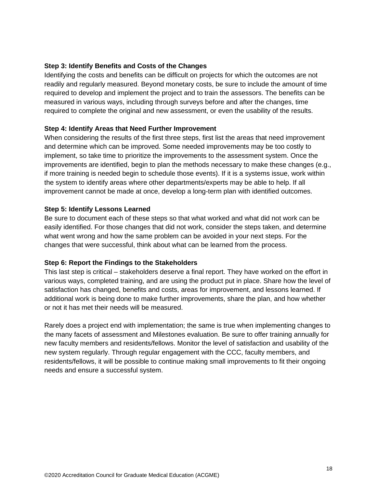## **Step 3: Identify Benefits and Costs of the Changes**

Identifying the costs and benefits can be difficult on projects for which the outcomes are not readily and regularly measured. Beyond monetary costs, be sure to include the amount of time required to develop and implement the project and to train the assessors. The benefits can be measured in various ways, including through surveys before and after the changes, time required to complete the original and new assessment, or even the usability of the results.

## **Step 4: Identify Areas that Need Further Improvement**

When considering the results of the first three steps, first list the areas that need improvement and determine which can be improved. Some needed improvements may be too costly to implement, so take time to prioritize the improvements to the assessment system. Once the improvements are identified, begin to plan the methods necessary to make these changes (e.g., if more training is needed begin to schedule those events). If it is a systems issue, work within the system to identify areas where other departments/experts may be able to help. If all improvement cannot be made at once, develop a long-term plan with identified outcomes.

#### **Step 5: Identify Lessons Learned**

Be sure to document each of these steps so that what worked and what did not work can be easily identified. For those changes that did not work, consider the steps taken, and determine what went wrong and how the same problem can be avoided in your next steps. For the changes that were successful, think about what can be learned from the process.

## **Step 6: Report the Findings to the Stakeholders**

This last step is critical – stakeholders deserve a final report. They have worked on the effort in various ways, completed training, and are using the product put in place. Share how the level of satisfaction has changed, benefits and costs, areas for improvement, and lessons learned. If additional work is being done to make further improvements, share the plan, and how whether or not it has met their needs will be measured.

Rarely does a project end with implementation; the same is true when implementing changes to the many facets of assessment and Milestones evaluation. Be sure to offer training annually for new faculty members and residents/fellows. Monitor the level of satisfaction and usability of the new system regularly. Through regular engagement with the CCC, faculty members, and residents/fellows, it will be possible to continue making small improvements to fit their ongoing needs and ensure a successful system.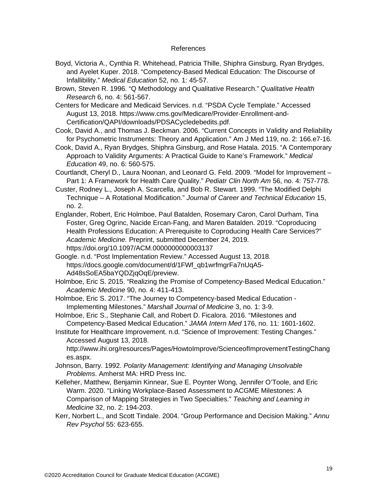#### References

- Boyd, Victoria A., Cynthia R. Whitehead, Patricia Thille, Shiphra Ginsburg, Ryan Brydges, and Ayelet Kuper. 2018. "Competency-Based Medical Education: The Discourse of Infallibility." *Medical Education* 52, no. 1: 45-57.
- Brown, Steven R. 1996. "Q Methodology and Qualitative Research." *Qualitative Health Research* 6, no. 4: 561-567.

Centers for Medicare and Medicaid Services. n.d. "PSDA Cycle Template." Accessed August 13, 2018. https://www.cms.gov/Medicare/Provider-Enrollment-and-Certification/QAPI/downloads/PDSACycledebedits.pdf.

Cook, David A., and Thomas J. Beckman. 2006. "Current Concepts in Validity and Reliability for Psychometric Instruments: Theory and Application." Am J Med 119, no. 2: 166.e7-16.

- Cook, David A., Ryan Brydges, Shiphra Ginsburg, and Rose Hatala. 2015. "A Contemporary Approach to Validity Arguments: A Practical Guide to Kane's Framework." *Medical Education* 49, no. 6: 560-575.
- Courtlandt, Cheryl D., Laura Noonan, and Leonard G. Feld. 2009. "Model for Improvement Part 1: A Framework for Health Care Quality." *Pediatr Clin North Am* 56, no. 4: 757-778.
- Custer, Rodney L., Joseph A. Scarcella, and Bob R. Stewart. 1999. "The Modified Delphi Technique – A Rotational Modification." *Journal of Career and Technical Education* 15, no. 2.
- Englander, Robert, Eric Holmboe, Paul Batalden, Rosemary Caron, Carol Durham, Tina Foster, Greg Ogrinc, Nacide Ercan-Fang, and Maren Batalden. 2019. "Coproducing Health Professions Education: A Prerequisite to Coproducing Health Care Services?" *Academic Medicine.* Preprint, submitted December 24, 2019. https://doi.org/10.1097/ACM.0000000000003137
- Google. n.d. "Post Implementation Review." Accessed August 13, 2018. https://docs.google.com/document/d/1FWf\_qb1wrfmgrFa7nUqA5- Ad48sSoEA5baYQDZjqOqE/preview.
- Holmboe, Eric S. 2015. "Realizing the Promise of Competency-Based Medical Education." *Academic Medicine* 90, no. 4: 411-413.
- Holmboe, Eric S. 2017. "The Journey to Competency-based Medical Education Implementing Milestones." *Marshall Journal of Medicine* 3, no. 1: 3-9.

Holmboe, Eric S., Stephanie Call, and Robert D. Ficalora. 2016. "Milestones and Competency-Based Medical Education." *JAMA Intern Med* 176, no. 11: 1601-1602.

Institute for Healthcare Improvement. n.d. "Science of Improvement: Testing Changes." Accessed August 13, 2018.

http://www.ihi.org/resources/Pages/HowtoImprove/ScienceofImprovementTestingChang es.aspx.

- Johnson, Barry. 1992. *Polarity Management: Identifying and Managing Unsolvable Problems*. Amherst MA: HRD Press Inc.
- Kelleher, Matthew, Benjamin Kinnear, Sue E. Poynter Wong, Jennifer O'Toole, and Eric Warm. 2020. "Linking Workplace-Based Assessment to ACGME Milestones: A Comparison of Mapping Strategies in Two Specialties." *Teaching and Learning in Medicine* 32, no. 2: 194-203.
- Kerr, Norbert L., and Scott Tindale. 2004. "Group Performance and Decision Making." *Annu Rev Psychol* 55: 623-655.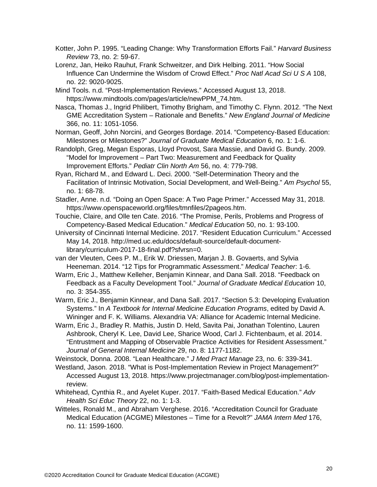- Kotter, John P. 1995. "Leading Change: Why Transformation Efforts Fail." *Harvard Business Review* 73, no. 2: 59-67.
- Lorenz, Jan, Heiko Rauhut, Frank Schweitzer, and Dirk Helbing. 2011. "How Social Influence Can Undermine the Wisdom of Crowd Effect." *Proc Natl Acad Sci U S A* 108, no. 22: 9020-9025.
- Mind Tools. n.d. "Post-Implementation Reviews." Accessed August 13, 2018. https://www.mindtools.com/pages/article/newPPM\_74.htm.
- Nasca, Thomas J., Ingrid Philibert, Timothy Brigham, and Timothy C. Flynn. 2012. "The Next GME Accreditation System – Rationale and Benefits." *New England Journal of Medicine* 366, no. 11: 1051-1056.
- Norman, Geoff, John Norcini, and Georges Bordage. 2014. "Competency-Based Education: Milestones or Milestones?" *Journal of Graduate Medical Education* 6, no. 1: 1-6.
- Randolph, Greg, Megan Esporas, Lloyd Provost, Sara Massie, and David G. Bundy. 2009. "Model for Improvement – Part Two: Measurement and Feedback for Quality Improvement Efforts." *Pediatr Clin North Am* 56, no. 4: 779-798.
- Ryan, Richard M., and Edward L. Deci. 2000. "Self-Determination Theory and the Facilitation of Intrinsic Motivation, Social Development, and Well-Being." *Am Psychol* 55, no. 1: 68-78.
- Stadler, Anne. n.d. "Doing an Open Space: A Two Page Primer." Accessed May 31, 2018. https://www.openspaceworld.org/files/tmnfiles/2pageos.htm.
- Touchie, Claire, and Olle ten Cate. 2016. "The Promise, Perils, Problems and Progress of Competency-Based Medical Education." *Medical Education* 50, no. 1: 93-100.
- University of Cincinnati Internal Medicine. 2017. "Resident Education Curriculum." Accessed May 14, 2018. http://med.uc.edu/docs/default-source/default-documentlibrary/curriculum-2017-18-final.pdf?sfvrsn=0.
- van der Vleuten, Cees P. M., Erik W. Driessen, Marjan J. B. Govaerts, and Sylvia Heeneman. 2014. "12 Tips for Programmatic Assessment." *Medical Teacher*: 1-6.
- Warm, Eric J., Matthew Kelleher, Benjamin Kinnear, and Dana Sall. 2018. "Feedback on Feedback as a Faculty Development Tool." *Journal of Graduate Medical Education* 10, no. 3: 354-355.
- Warm, Eric J., Benjamin Kinnear, and Dana Sall. 2017. "Section 5.3: Developing Evaluation Systems." In *A Textbook for Internal Medicine Education Programs*, edited by David A. Wininger and F. K. Williams. Alexandria VA: Alliance for Academic Internal Medicine.
- Warm, Eric J., Bradley R. Mathis, Justin D. Held, Savita Pai, Jonathan Tolentino, Lauren Ashbrook, Cheryl K. Lee, David Lee, Sharice Wood, Carl J. Fichtenbaum, et al. 2014. "Entrustment and Mapping of Observable Practice Activities for Resident Assessment." *Journal of General Internal Medicine* 29, no. 8: 1177-1182.
- Weinstock, Donna. 2008. "Lean Healthcare." *J Med Pract Manage* 23, no. 6: 339-341.
- Westland, Jason. 2018. "What is Post-Implementation Review in Project Management?" Accessed August 13, 2018. https://www.projectmanager.com/blog/post-implementationreview.
- Whitehead, Cynthia R., and Ayelet Kuper. 2017. "Faith-Based Medical Education." *Adv Health Sci Educ Theory* 22, no. 1: 1-3.
- Witteles, Ronald M., and Abraham Verghese. 2016. "Accreditation Council for Graduate Medical Education (ACGME) Milestones – Time for a Revolt?" *JAMA Intern Med* 176, no. 11: 1599-1600.